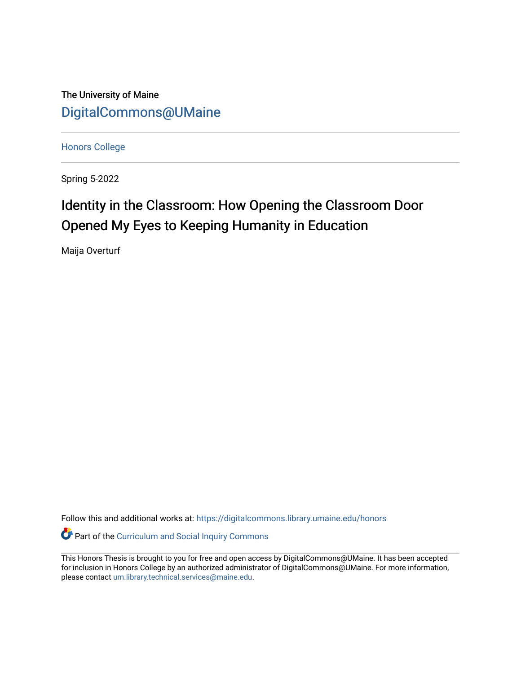The University of Maine [DigitalCommons@UMaine](https://digitalcommons.library.umaine.edu/)

[Honors College](https://digitalcommons.library.umaine.edu/honors)

Spring 5-2022

# Identity in the Classroom: How Opening the Classroom Door Opened My Eyes to Keeping Humanity in Education

Maija Overturf

Follow this and additional works at: [https://digitalcommons.library.umaine.edu/honors](https://digitalcommons.library.umaine.edu/honors?utm_source=digitalcommons.library.umaine.edu%2Fhonors%2F765&utm_medium=PDF&utm_campaign=PDFCoverPages) 

Part of the [Curriculum and Social Inquiry Commons](https://network.bepress.com/hgg/discipline/1038?utm_source=digitalcommons.library.umaine.edu%2Fhonors%2F765&utm_medium=PDF&utm_campaign=PDFCoverPages) 

This Honors Thesis is brought to you for free and open access by DigitalCommons@UMaine. It has been accepted for inclusion in Honors College by an authorized administrator of DigitalCommons@UMaine. For more information, please contact [um.library.technical.services@maine.edu.](mailto:um.library.technical.services@maine.edu)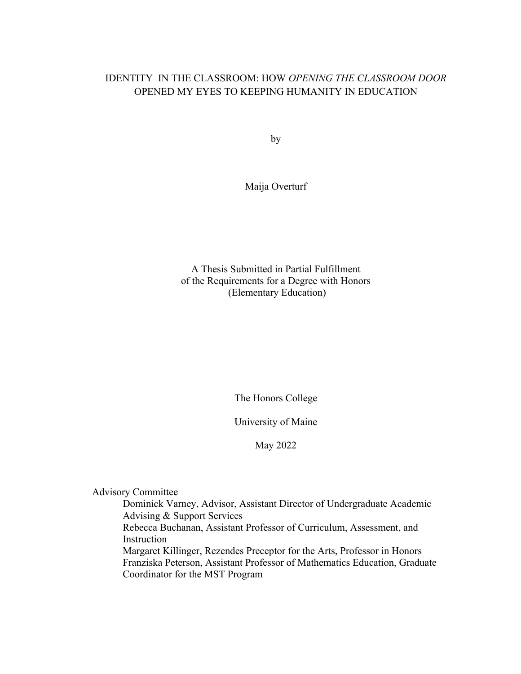# IDENTITY IN THE CLASSROOM: HOW *OPENING THE CLASSROOM DOOR* OPENED MY EYES TO KEEPING HUMANITY IN EDUCATION

by

Maija Overturf

A Thesis Submitted in Partial Fulfillment of the Requirements for a Degree with Honors (Elementary Education)

The Honors College

University of Maine

May 2022

Advisory Committee

Dominick Varney, Advisor, Assistant Director of Undergraduate Academic Advising & Support Services Rebecca Buchanan, Assistant Professor of Curriculum, Assessment, and Instruction Margaret Killinger, Rezendes Preceptor for the Arts, Professor in Honors

Franziska Peterson, Assistant Professor of Mathematics Education, Graduate Coordinator for the MST Program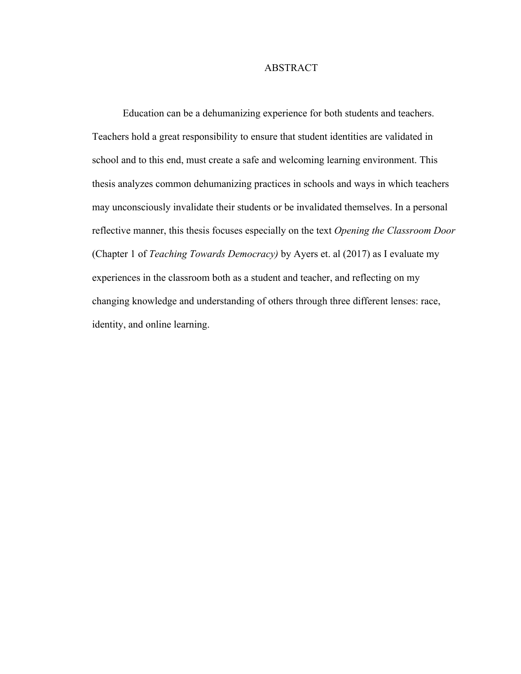# ABSTRACT

Education can be a dehumanizing experience for both students and teachers. Teachers hold a great responsibility to ensure that student identities are validated in school and to this end, must create a safe and welcoming learning environment. This thesis analyzes common dehumanizing practices in schools and ways in which teachers may unconsciously invalidate their students or be invalidated themselves. In a personal reflective manner, this thesis focuses especially on the text *Opening the Classroom Door*  (Chapter 1 of *Teaching Towards Democracy)* by Ayers et. al (2017) as I evaluate my experiences in the classroom both as a student and teacher, and reflecting on my changing knowledge and understanding of others through three different lenses: race, identity, and online learning.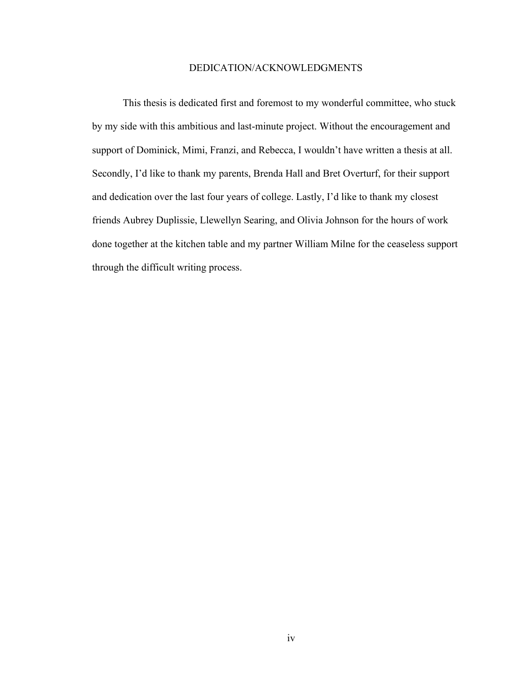# DEDICATION/ACKNOWLEDGMENTS

This thesis is dedicated first and foremost to my wonderful committee, who stuck by my side with this ambitious and last-minute project. Without the encouragement and support of Dominick, Mimi, Franzi, and Rebecca, I wouldn't have written a thesis at all. Secondly, I'd like to thank my parents, Brenda Hall and Bret Overturf, for their support and dedication over the last four years of college. Lastly, I'd like to thank my closest friends Aubrey Duplissie, Llewellyn Searing, and Olivia Johnson for the hours of work done together at the kitchen table and my partner William Milne for the ceaseless support through the difficult writing process.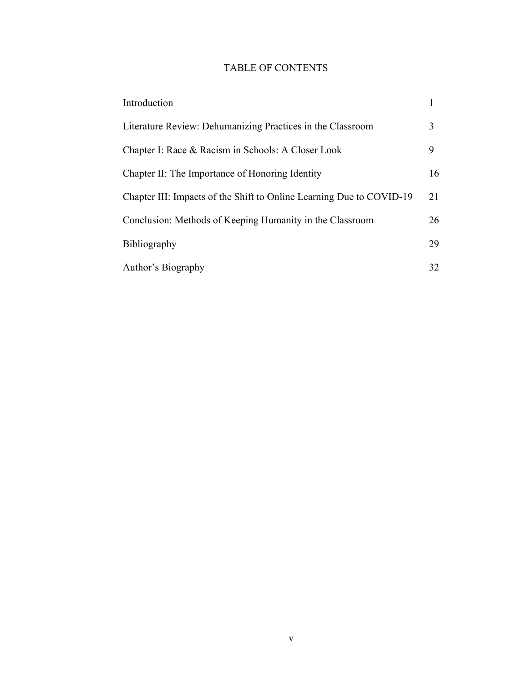# TABLE OF CONTENTS

| Introduction                                                         |    |
|----------------------------------------------------------------------|----|
| Literature Review: Dehumanizing Practices in the Classroom           | 3  |
| Chapter I: Race & Racism in Schools: A Closer Look                   | 9  |
| Chapter II: The Importance of Honoring Identity                      | 16 |
| Chapter III: Impacts of the Shift to Online Learning Due to COVID-19 | 21 |
| Conclusion: Methods of Keeping Humanity in the Classroom             | 26 |
| Bibliography                                                         | 29 |
| Author's Biography                                                   | 32 |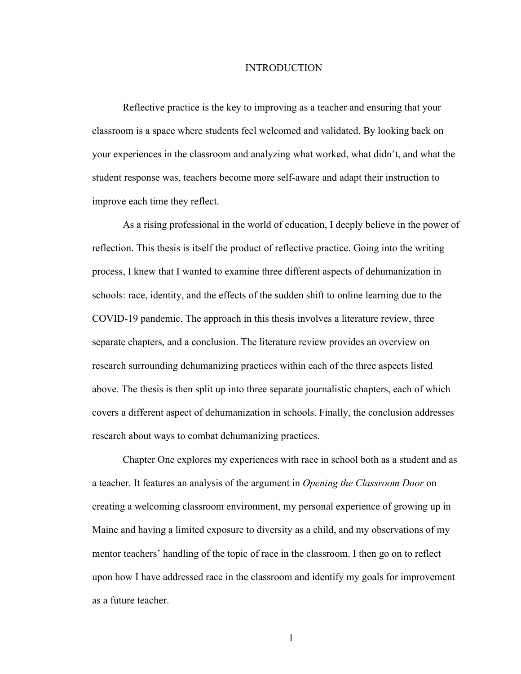## **INTRODUCTION**

Reflective practice is the key to improving as a teacher and ensuring that your classroom is a space where students feel welcomed and validated. By looking back on your experiences in the classroom and analyzing what worked, what didn't, and what the student response was, teachers become more self-aware and adapt their instruction to improve each time they reflect.

As a rising professional in the world of education, I deeply believe in the power of reflection. This thesis is itself the product of reflective practice. Going into the writing process, I knew that I wanted to examine three different aspects of dehumanization in schools: race, identity, and the effects of the sudden shift to online learning due to the COVID-19 pandemic. The approach in this thesis involves a literature review, three separate chapters, and a conclusion. The literature review provides an overview on research surrounding dehumanizing practices within each of the three aspects listed above. The thesis is then split up into three separate journalistic chapters, each of which covers a different aspect of dehumanization in schools. Finally, the conclusion addresses research about ways to combat dehumanizing practices.

Chapter One explores my experiences with race in school both as a student and as a teacher. It features an analysis of the argument in *Opening the Classroom Door* on creating a welcoming classroom environment, my personal experience of growing up in Maine and having a limited exposure to diversity as a child, and my observations of my mentor teachers' handling of the topic of race in the classroom. I then go on to reflect upon how I have addressed race in the classroom and identify my goals for improvement as a future teacher.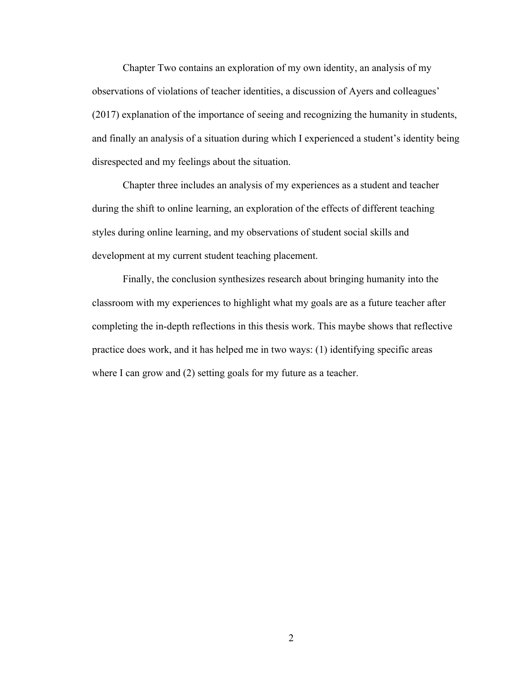Chapter Two contains an exploration of my own identity, an analysis of my observations of violations of teacher identities, a discussion of Ayers and colleagues' (2017) explanation of the importance of seeing and recognizing the humanity in students, and finally an analysis of a situation during which I experienced a student's identity being disrespected and my feelings about the situation.

Chapter three includes an analysis of my experiences as a student and teacher during the shift to online learning, an exploration of the effects of different teaching styles during online learning, and my observations of student social skills and development at my current student teaching placement.

Finally, the conclusion synthesizes research about bringing humanity into the classroom with my experiences to highlight what my goals are as a future teacher after completing the in-depth reflections in this thesis work. This maybe shows that reflective practice does work, and it has helped me in two ways: (1) identifying specific areas where I can grow and (2) setting goals for my future as a teacher.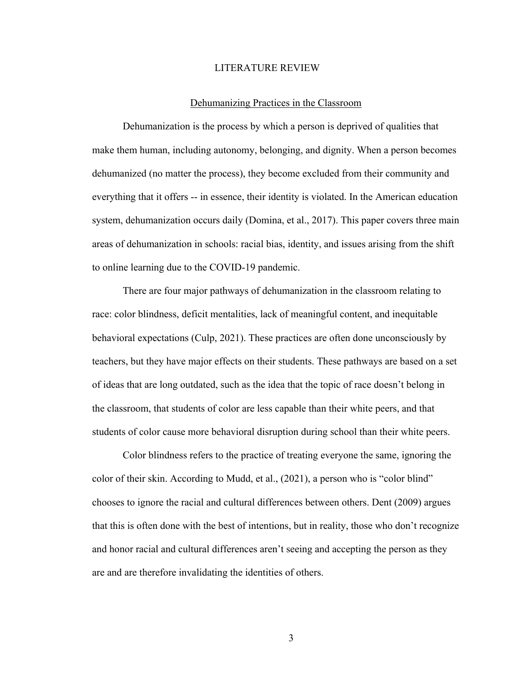# LITERATURE REVIEW

#### Dehumanizing Practices in the Classroom

Dehumanization is the process by which a person is deprived of qualities that make them human, including autonomy, belonging, and dignity. When a person becomes dehumanized (no matter the process), they become excluded from their community and everything that it offers -- in essence, their identity is violated. In the American education system, dehumanization occurs daily (Domina, et al., 2017). This paper covers three main areas of dehumanization in schools: racial bias, identity, and issues arising from the shift to online learning due to the COVID-19 pandemic.

There are four major pathways of dehumanization in the classroom relating to race: color blindness, deficit mentalities, lack of meaningful content, and inequitable behavioral expectations (Culp, 2021). These practices are often done unconsciously by teachers, but they have major effects on their students. These pathways are based on a set of ideas that are long outdated, such as the idea that the topic of race doesn't belong in the classroom, that students of color are less capable than their white peers, and that students of color cause more behavioral disruption during school than their white peers.

Color blindness refers to the practice of treating everyone the same, ignoring the color of their skin. According to Mudd, et al., (2021), a person who is "color blind" chooses to ignore the racial and cultural differences between others. Dent (2009) argues that this is often done with the best of intentions, but in reality, those who don't recognize and honor racial and cultural differences aren't seeing and accepting the person as they are and are therefore invalidating the identities of others.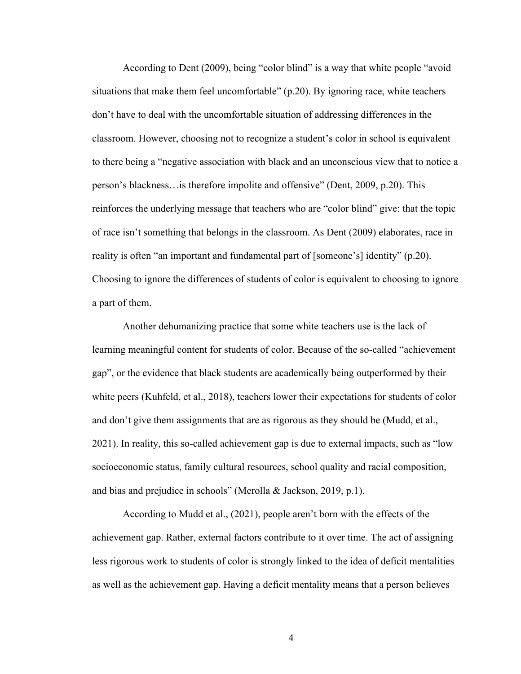According to Dent (2009), being "color blind" is a way that white people "avoid situations that make them feel uncomfortable" (p.20). By ignoring race, white teachers don't have to deal with the uncomfortable situation of addressing differences in the classroom. However, choosing not to recognize a student's color in school is equivalent to there being a "negative association with black and an unconscious view that to notice a person's blackness…is therefore impolite and offensive" (Dent, 2009, p.20). This reinforces the underlying message that teachers who are "color blind" give: that the topic of race isn't something that belongs in the classroom. As Dent (2009) elaborates, race in reality is often "an important and fundamental part of [someone's] identity" (p.20). Choosing to ignore the differences of students of color is equivalent to choosing to ignore a part of them.

Another dehumanizing practice that some white teachers use is the lack of learning meaningful content for students of color. Because of the so-called "achievement gap", or the evidence that black students are academically being outperformed by their white peers (Kuhfeld, et al., 2018), teachers lower their expectations for students of color and don't give them assignments that are as rigorous as they should be (Mudd, et al., 2021). In reality, this so-called achievement gap is due to external impacts, such as "low socioeconomic status, family cultural resources, school quality and racial composition, and bias and prejudice in schools" (Merolla & Jackson, 2019, p.1).

According to Mudd et al., (2021), people aren't born with the effects of the achievement gap. Rather, external factors contribute to it over time. The act of assigning less rigorous work to students of color is strongly linked to the idea of deficit mentalities as well as the achievement gap. Having a deficit mentality means that a person believes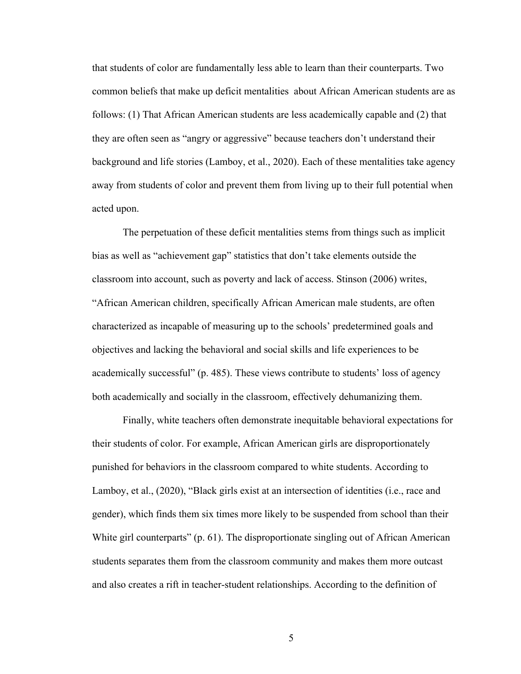that students of color are fundamentally less able to learn than their counterparts. Two common beliefs that make up deficit mentalities about African American students are as follows: (1) That African American students are less academically capable and (2) that they are often seen as "angry or aggressive" because teachers don't understand their background and life stories (Lamboy, et al., 2020). Each of these mentalities take agency away from students of color and prevent them from living up to their full potential when acted upon.

The perpetuation of these deficit mentalities stems from things such as implicit bias as well as "achievement gap" statistics that don't take elements outside the classroom into account, such as poverty and lack of access. Stinson (2006) writes, "African American children, specifically African American male students, are often characterized as incapable of measuring up to the schools' predetermined goals and objectives and lacking the behavioral and social skills and life experiences to be academically successful" (p. 485). These views contribute to students' loss of agency both academically and socially in the classroom, effectively dehumanizing them.

Finally, white teachers often demonstrate inequitable behavioral expectations for their students of color. For example, African American girls are disproportionately punished for behaviors in the classroom compared to white students. According to Lamboy, et al., (2020), "Black girls exist at an intersection of identities (i.e., race and gender), which finds them six times more likely to be suspended from school than their White girl counterparts" (p. 61). The disproportionate singling out of African American students separates them from the classroom community and makes them more outcast and also creates a rift in teacher-student relationships. According to the definition of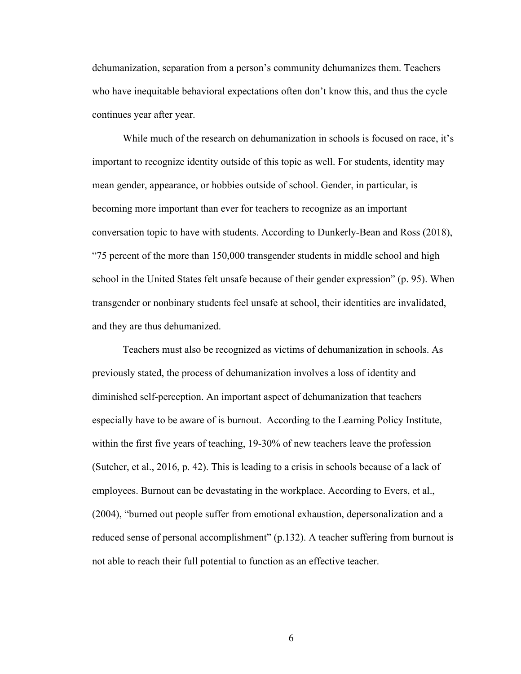dehumanization, separation from a person's community dehumanizes them. Teachers who have inequitable behavioral expectations often don't know this, and thus the cycle continues year after year.

While much of the research on dehumanization in schools is focused on race, it's important to recognize identity outside of this topic as well. For students, identity may mean gender, appearance, or hobbies outside of school. Gender, in particular, is becoming more important than ever for teachers to recognize as an important conversation topic to have with students. According to Dunkerly-Bean and Ross (2018), "75 percent of the more than 150,000 transgender students in middle school and high school in the United States felt unsafe because of their gender expression" (p. 95). When transgender or nonbinary students feel unsafe at school, their identities are invalidated, and they are thus dehumanized.

Teachers must also be recognized as victims of dehumanization in schools. As previously stated, the process of dehumanization involves a loss of identity and diminished self-perception. An important aspect of dehumanization that teachers especially have to be aware of is burnout. According to the Learning Policy Institute, within the first five years of teaching, 19-30% of new teachers leave the profession (Sutcher, et al., 2016, p. 42). This is leading to a crisis in schools because of a lack of employees. Burnout can be devastating in the workplace. According to Evers, et al., (2004), "burned out people suffer from emotional exhaustion, depersonalization and a reduced sense of personal accomplishment" (p.132). A teacher suffering from burnout is not able to reach their full potential to function as an effective teacher.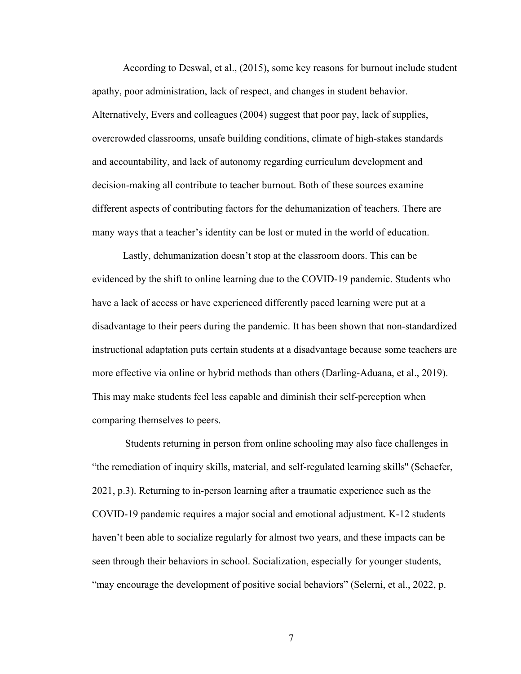According to Deswal, et al., (2015), some key reasons for burnout include student apathy, poor administration, lack of respect, and changes in student behavior. Alternatively, Evers and colleagues (2004) suggest that poor pay, lack of supplies, overcrowded classrooms, unsafe building conditions, climate of high-stakes standards and accountability, and lack of autonomy regarding curriculum development and decision-making all contribute to teacher burnout. Both of these sources examine different aspects of contributing factors for the dehumanization of teachers. There are many ways that a teacher's identity can be lost or muted in the world of education.

Lastly, dehumanization doesn't stop at the classroom doors. This can be evidenced by the shift to online learning due to the COVID-19 pandemic. Students who have a lack of access or have experienced differently paced learning were put at a disadvantage to their peers during the pandemic. It has been shown that non-standardized instructional adaptation puts certain students at a disadvantage because some teachers are more effective via online or hybrid methods than others (Darling-Aduana, et al., 2019). This may make students feel less capable and diminish their self-perception when comparing themselves to peers.

Students returning in person from online schooling may also face challenges in "the remediation of inquiry skills, material, and self-regulated learning skills'' (Schaefer, 2021, p.3). Returning to in-person learning after a traumatic experience such as the COVID-19 pandemic requires a major social and emotional adjustment. K-12 students haven't been able to socialize regularly for almost two years, and these impacts can be seen through their behaviors in school. Socialization, especially for younger students, "may encourage the development of positive social behaviors" (Selerni, et al., 2022, p.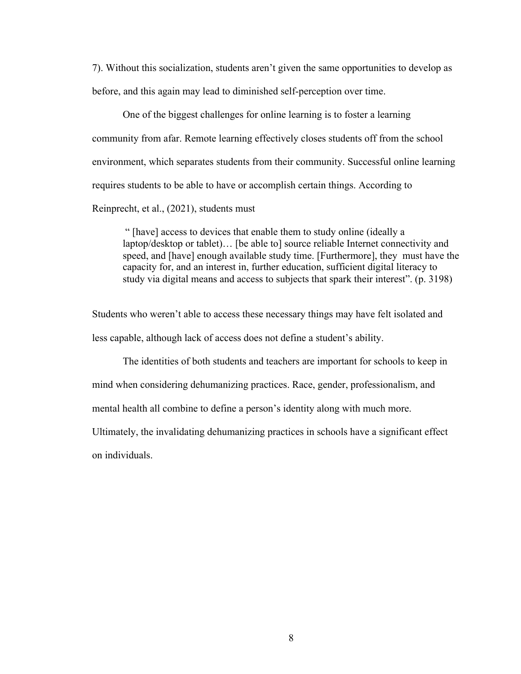7). Without this socialization, students aren't given the same opportunities to develop as before, and this again may lead to diminished self-perception over time.

One of the biggest challenges for online learning is to foster a learning community from afar. Remote learning effectively closes students off from the school environment, which separates students from their community. Successful online learning requires students to be able to have or accomplish certain things. According to Reinprecht, et al., (2021), students must

" [have] access to devices that enable them to study online (ideally a laptop/desktop or tablet)… [be able to] source reliable Internet connectivity and speed, and [have] enough available study time. [Furthermore], they must have the capacity for, and an interest in, further education, sufficient digital literacy to study via digital means and access to subjects that spark their interest". (p. 3198)

Students who weren't able to access these necessary things may have felt isolated and less capable, although lack of access does not define a student's ability.

The identities of both students and teachers are important for schools to keep in mind when considering dehumanizing practices. Race, gender, professionalism, and mental health all combine to define a person's identity along with much more.

Ultimately, the invalidating dehumanizing practices in schools have a significant effect on individuals.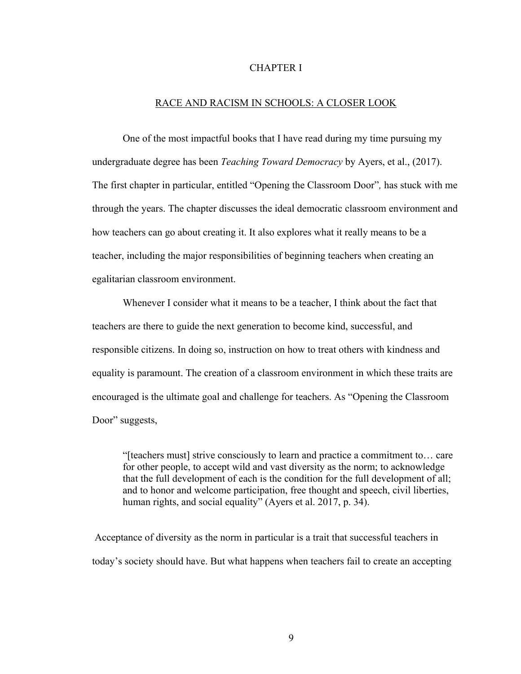# CHAPTER I

# RACE AND RACISM IN SCHOOLS: A CLOSER LOOK

One of the most impactful books that I have read during my time pursuing my undergraduate degree has been *Teaching Toward Democracy* by Ayers, et al., (2017). The first chapter in particular, entitled "Opening the Classroom Door"*,* has stuck with me through the years. The chapter discusses the ideal democratic classroom environment and how teachers can go about creating it. It also explores what it really means to be a teacher, including the major responsibilities of beginning teachers when creating an egalitarian classroom environment.

Whenever I consider what it means to be a teacher, I think about the fact that teachers are there to guide the next generation to become kind, successful, and responsible citizens. In doing so, instruction on how to treat others with kindness and equality is paramount. The creation of a classroom environment in which these traits are encouraged is the ultimate goal and challenge for teachers. As "Opening the Classroom Door" suggests,

"[teachers must] strive consciously to learn and practice a commitment to… care for other people, to accept wild and vast diversity as the norm; to acknowledge that the full development of each is the condition for the full development of all; and to honor and welcome participation, free thought and speech, civil liberties, human rights, and social equality" (Ayers et al. 2017, p. 34).

Acceptance of diversity as the norm in particular is a trait that successful teachers in today's society should have. But what happens when teachers fail to create an accepting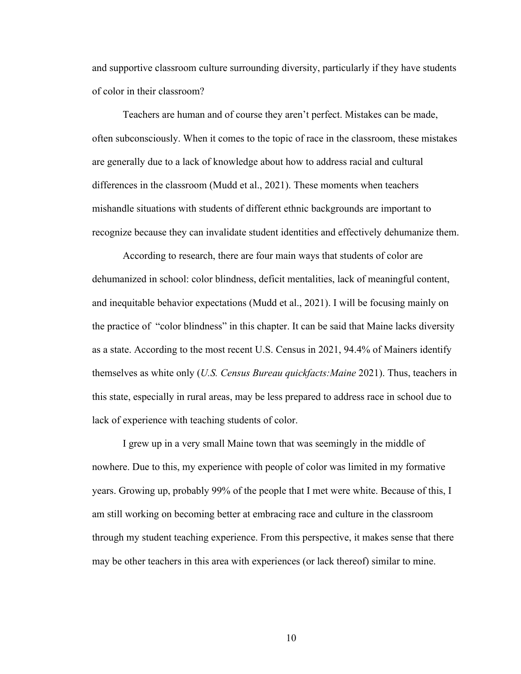and supportive classroom culture surrounding diversity, particularly if they have students of color in their classroom?

Teachers are human and of course they aren't perfect. Mistakes can be made, often subconsciously. When it comes to the topic of race in the classroom, these mistakes are generally due to a lack of knowledge about how to address racial and cultural differences in the classroom (Mudd et al., 2021). These moments when teachers mishandle situations with students of different ethnic backgrounds are important to recognize because they can invalidate student identities and effectively dehumanize them.

According to research, there are four main ways that students of color are dehumanized in school: color blindness, deficit mentalities, lack of meaningful content, and inequitable behavior expectations (Mudd et al., 2021). I will be focusing mainly on the practice of "color blindness" in this chapter. It can be said that Maine lacks diversity as a state. According to the most recent U.S. Census in 2021, 94.4% of Mainers identify themselves as white only (*U.S. Census Bureau quickfacts:Maine* 2021). Thus, teachers in this state, especially in rural areas, may be less prepared to address race in school due to lack of experience with teaching students of color.

I grew up in a very small Maine town that was seemingly in the middle of nowhere. Due to this, my experience with people of color was limited in my formative years. Growing up, probably 99% of the people that I met were white. Because of this, I am still working on becoming better at embracing race and culture in the classroom through my student teaching experience. From this perspective, it makes sense that there may be other teachers in this area with experiences (or lack thereof) similar to mine.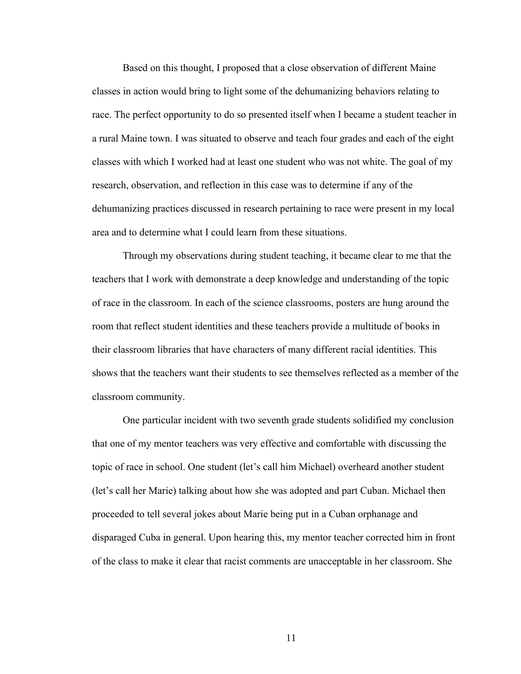Based on this thought, I proposed that a close observation of different Maine classes in action would bring to light some of the dehumanizing behaviors relating to race. The perfect opportunity to do so presented itself when I became a student teacher in a rural Maine town. I was situated to observe and teach four grades and each of the eight classes with which I worked had at least one student who was not white. The goal of my research, observation, and reflection in this case was to determine if any of the dehumanizing practices discussed in research pertaining to race were present in my local area and to determine what I could learn from these situations.

Through my observations during student teaching, it became clear to me that the teachers that I work with demonstrate a deep knowledge and understanding of the topic of race in the classroom. In each of the science classrooms, posters are hung around the room that reflect student identities and these teachers provide a multitude of books in their classroom libraries that have characters of many different racial identities. This shows that the teachers want their students to see themselves reflected as a member of the classroom community.

One particular incident with two seventh grade students solidified my conclusion that one of my mentor teachers was very effective and comfortable with discussing the topic of race in school. One student (let's call him Michael) overheard another student (let's call her Marie) talking about how she was adopted and part Cuban. Michael then proceeded to tell several jokes about Marie being put in a Cuban orphanage and disparaged Cuba in general. Upon hearing this, my mentor teacher corrected him in front of the class to make it clear that racist comments are unacceptable in her classroom. She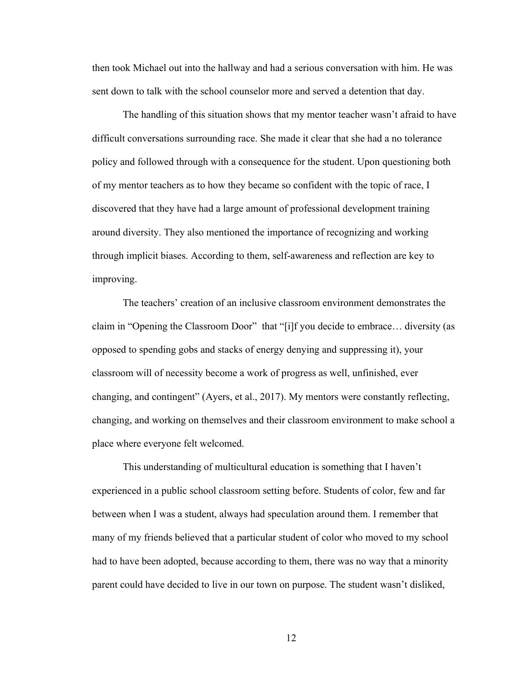then took Michael out into the hallway and had a serious conversation with him. He was sent down to talk with the school counselor more and served a detention that day.

The handling of this situation shows that my mentor teacher wasn't afraid to have difficult conversations surrounding race. She made it clear that she had a no tolerance policy and followed through with a consequence for the student. Upon questioning both of my mentor teachers as to how they became so confident with the topic of race, I discovered that they have had a large amount of professional development training around diversity. They also mentioned the importance of recognizing and working through implicit biases. According to them, self-awareness and reflection are key to improving.

The teachers' creation of an inclusive classroom environment demonstrates the claim in "Opening the Classroom Door" that "[i]f you decide to embrace… diversity (as opposed to spending gobs and stacks of energy denying and suppressing it), your classroom will of necessity become a work of progress as well, unfinished, ever changing, and contingent" (Ayers, et al., 2017). My mentors were constantly reflecting, changing, and working on themselves and their classroom environment to make school a place where everyone felt welcomed.

This understanding of multicultural education is something that I haven't experienced in a public school classroom setting before. Students of color, few and far between when I was a student, always had speculation around them. I remember that many of my friends believed that a particular student of color who moved to my school had to have been adopted, because according to them, there was no way that a minority parent could have decided to live in our town on purpose. The student wasn't disliked,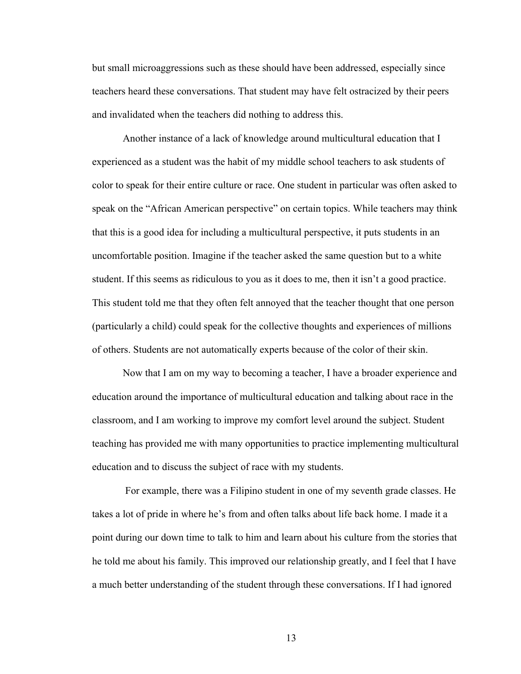but small microaggressions such as these should have been addressed, especially since teachers heard these conversations. That student may have felt ostracized by their peers and invalidated when the teachers did nothing to address this.

Another instance of a lack of knowledge around multicultural education that I experienced as a student was the habit of my middle school teachers to ask students of color to speak for their entire culture or race. One student in particular was often asked to speak on the "African American perspective" on certain topics. While teachers may think that this is a good idea for including a multicultural perspective, it puts students in an uncomfortable position. Imagine if the teacher asked the same question but to a white student. If this seems as ridiculous to you as it does to me, then it isn't a good practice. This student told me that they often felt annoyed that the teacher thought that one person (particularly a child) could speak for the collective thoughts and experiences of millions of others. Students are not automatically experts because of the color of their skin.

Now that I am on my way to becoming a teacher, I have a broader experience and education around the importance of multicultural education and talking about race in the classroom, and I am working to improve my comfort level around the subject. Student teaching has provided me with many opportunities to practice implementing multicultural education and to discuss the subject of race with my students.

For example, there was a Filipino student in one of my seventh grade classes. He takes a lot of pride in where he's from and often talks about life back home. I made it a point during our down time to talk to him and learn about his culture from the stories that he told me about his family. This improved our relationship greatly, and I feel that I have a much better understanding of the student through these conversations. If I had ignored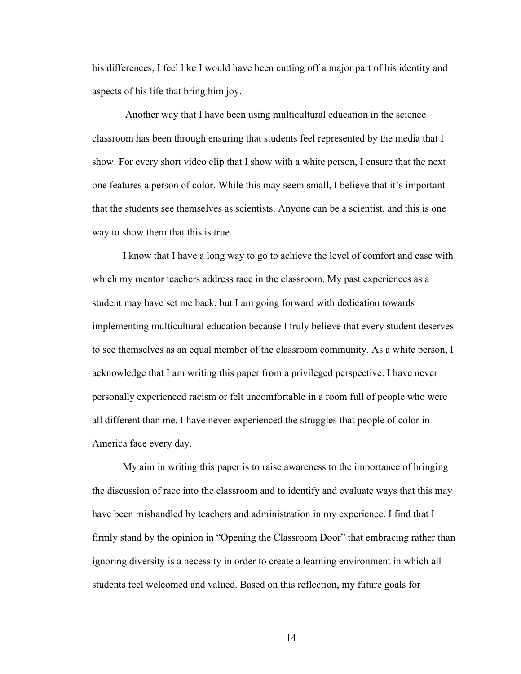his differences, I feel like I would have been cutting off a major part of his identity and aspects of his life that bring him joy.

Another way that I have been using multicultural education in the science classroom has been through ensuring that students feel represented by the media that I show. For every short video clip that I show with a white person, I ensure that the next one features a person of color. While this may seem small, I believe that it's important that the students see themselves as scientists. Anyone can be a scientist, and this is one way to show them that this is true.

I know that I have a long way to go to achieve the level of comfort and ease with which my mentor teachers address race in the classroom. My past experiences as a student may have set me back, but I am going forward with dedication towards implementing multicultural education because I truly believe that every student deserves to see themselves as an equal member of the classroom community. As a white person, I acknowledge that I am writing this paper from a privileged perspective. I have never personally experienced racism or felt uncomfortable in a room full of people who were all different than me. I have never experienced the struggles that people of color in America face every day.

My aim in writing this paper is to raise awareness to the importance of bringing the discussion of race into the classroom and to identify and evaluate ways that this may have been mishandled by teachers and administration in my experience. I find that I firmly stand by the opinion in "Opening the Classroom Door" that embracing rather than ignoring diversity is a necessity in order to create a learning environment in which all students feel welcomed and valued. Based on this reflection, my future goals for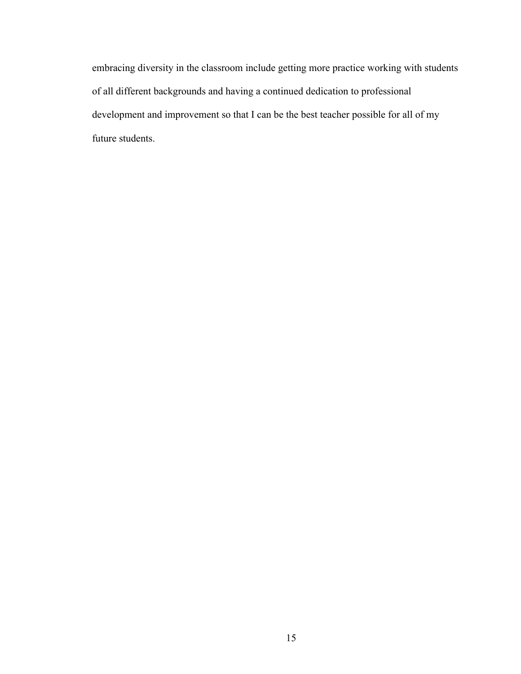embracing diversity in the classroom include getting more practice working with students of all different backgrounds and having a continued dedication to professional development and improvement so that I can be the best teacher possible for all of my future students.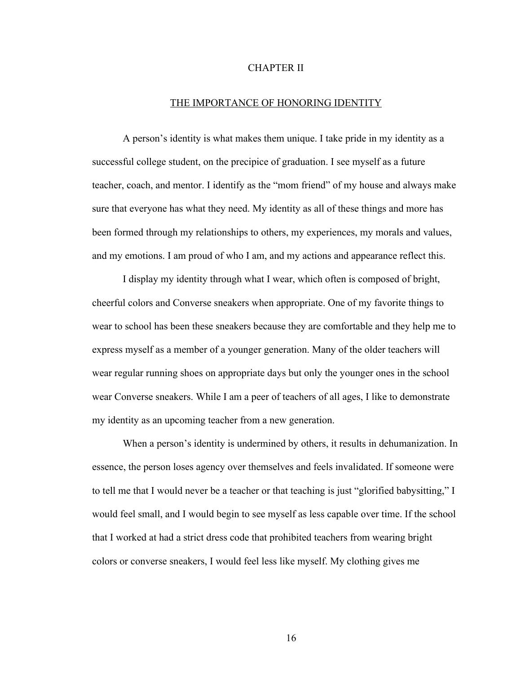# CHAPTER II

#### THE IMPORTANCE OF HONORING IDENTITY

A person's identity is what makes them unique. I take pride in my identity as a successful college student, on the precipice of graduation. I see myself as a future teacher, coach, and mentor. I identify as the "mom friend" of my house and always make sure that everyone has what they need. My identity as all of these things and more has been formed through my relationships to others, my experiences, my morals and values, and my emotions. I am proud of who I am, and my actions and appearance reflect this.

I display my identity through what I wear, which often is composed of bright, cheerful colors and Converse sneakers when appropriate. One of my favorite things to wear to school has been these sneakers because they are comfortable and they help me to express myself as a member of a younger generation. Many of the older teachers will wear regular running shoes on appropriate days but only the younger ones in the school wear Converse sneakers. While I am a peer of teachers of all ages, I like to demonstrate my identity as an upcoming teacher from a new generation.

When a person's identity is undermined by others, it results in dehumanization. In essence, the person loses agency over themselves and feels invalidated. If someone were to tell me that I would never be a teacher or that teaching is just "glorified babysitting," I would feel small, and I would begin to see myself as less capable over time. If the school that I worked at had a strict dress code that prohibited teachers from wearing bright colors or converse sneakers, I would feel less like myself. My clothing gives me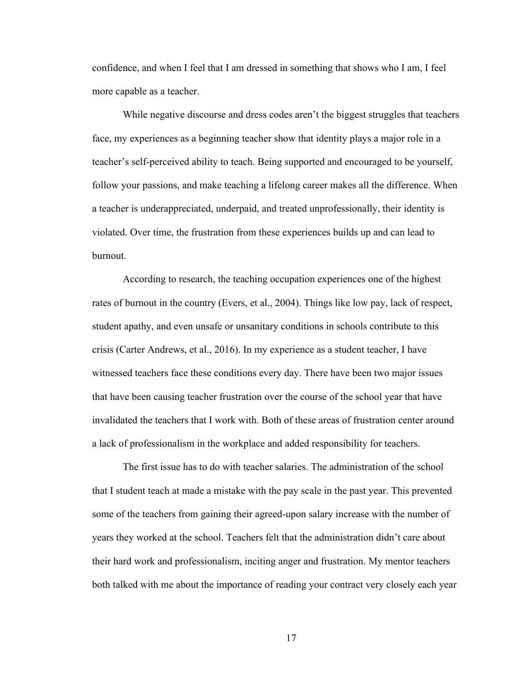confidence, and when I feel that I am dressed in something that shows who I am, I feel more capable as a teacher.

While negative discourse and dress codes aren't the biggest struggles that teachers face, my experiences as a beginning teacher show that identity plays a major role in a teacher's self-perceived ability to teach. Being supported and encouraged to be yourself, follow your passions, and make teaching a lifelong career makes all the difference. When a teacher is underappreciated, underpaid, and treated unprofessionally, their identity is violated. Over time, the frustration from these experiences builds up and can lead to burnout.

According to research, the teaching occupation experiences one of the highest rates of burnout in the country (Evers, et al., 2004). Things like low pay, lack of respect, student apathy, and even unsafe or unsanitary conditions in schools contribute to this crisis (Carter Andrews, et al., 2016). In my experience as a student teacher, I have witnessed teachers face these conditions every day. There have been two major issues that have been causing teacher frustration over the course of the school year that have invalidated the teachers that I work with. Both of these areas of frustration center around a lack of professionalism in the workplace and added responsibility for teachers.

The first issue has to do with teacher salaries. The administration of the school that I student teach at made a mistake with the pay scale in the past year. This prevented some of the teachers from gaining their agreed-upon salary increase with the number of years they worked at the school. Teachers felt that the administration didn't care about their hard work and professionalism, inciting anger and frustration. My mentor teachers both talked with me about the importance of reading your contract very closely each year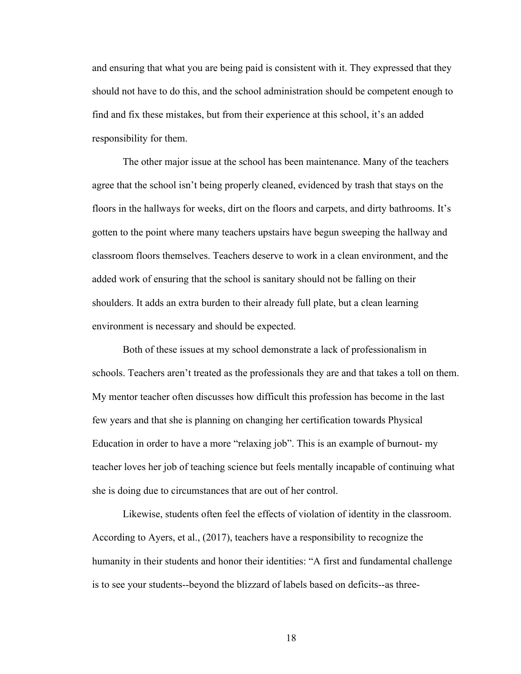and ensuring that what you are being paid is consistent with it. They expressed that they should not have to do this, and the school administration should be competent enough to find and fix these mistakes, but from their experience at this school, it's an added responsibility for them.

The other major issue at the school has been maintenance. Many of the teachers agree that the school isn't being properly cleaned, evidenced by trash that stays on the floors in the hallways for weeks, dirt on the floors and carpets, and dirty bathrooms. It's gotten to the point where many teachers upstairs have begun sweeping the hallway and classroom floors themselves. Teachers deserve to work in a clean environment, and the added work of ensuring that the school is sanitary should not be falling on their shoulders. It adds an extra burden to their already full plate, but a clean learning environment is necessary and should be expected.

Both of these issues at my school demonstrate a lack of professionalism in schools. Teachers aren't treated as the professionals they are and that takes a toll on them. My mentor teacher often discusses how difficult this profession has become in the last few years and that she is planning on changing her certification towards Physical Education in order to have a more "relaxing job". This is an example of burnout- my teacher loves her job of teaching science but feels mentally incapable of continuing what she is doing due to circumstances that are out of her control.

Likewise, students often feel the effects of violation of identity in the classroom. According to Ayers, et al., (2017), teachers have a responsibility to recognize the humanity in their students and honor their identities: "A first and fundamental challenge is to see your students--beyond the blizzard of labels based on deficits--as three-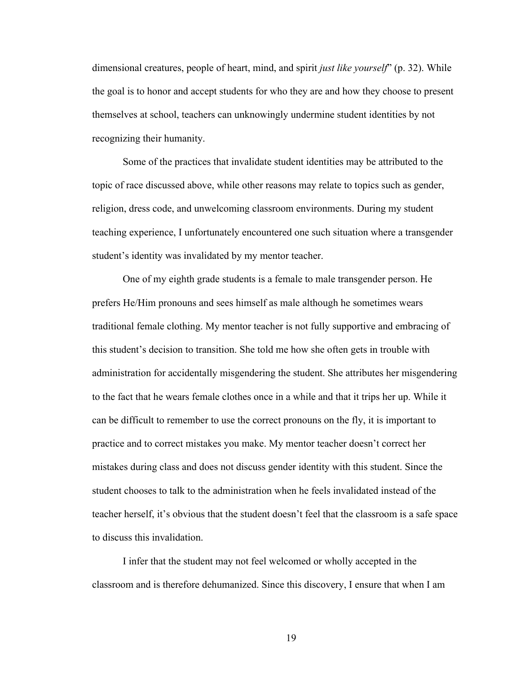dimensional creatures, people of heart, mind, and spirit *just like yourself*" (p. 32). While the goal is to honor and accept students for who they are and how they choose to present themselves at school, teachers can unknowingly undermine student identities by not recognizing their humanity.

Some of the practices that invalidate student identities may be attributed to the topic of race discussed above, while other reasons may relate to topics such as gender, religion, dress code, and unwelcoming classroom environments. During my student teaching experience, I unfortunately encountered one such situation where a transgender student's identity was invalidated by my mentor teacher.

One of my eighth grade students is a female to male transgender person. He prefers He/Him pronouns and sees himself as male although he sometimes wears traditional female clothing. My mentor teacher is not fully supportive and embracing of this student's decision to transition. She told me how she often gets in trouble with administration for accidentally misgendering the student. She attributes her misgendering to the fact that he wears female clothes once in a while and that it trips her up. While it can be difficult to remember to use the correct pronouns on the fly, it is important to practice and to correct mistakes you make. My mentor teacher doesn't correct her mistakes during class and does not discuss gender identity with this student. Since the student chooses to talk to the administration when he feels invalidated instead of the teacher herself, it's obvious that the student doesn't feel that the classroom is a safe space to discuss this invalidation.

I infer that the student may not feel welcomed or wholly accepted in the classroom and is therefore dehumanized. Since this discovery, I ensure that when I am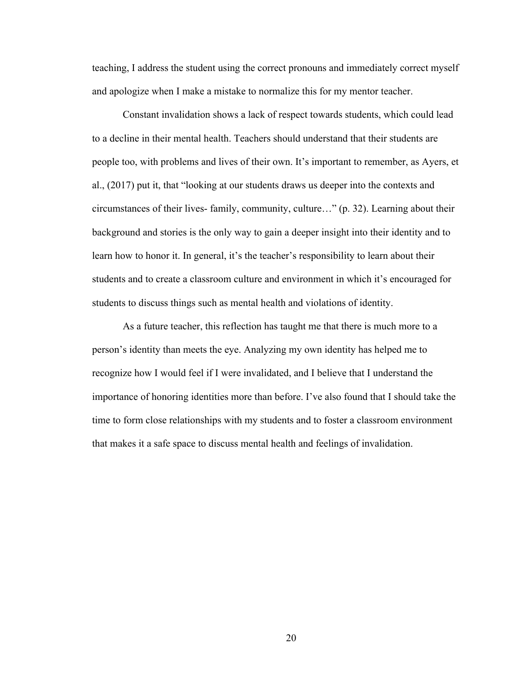teaching, I address the student using the correct pronouns and immediately correct myself and apologize when I make a mistake to normalize this for my mentor teacher.

Constant invalidation shows a lack of respect towards students, which could lead to a decline in their mental health. Teachers should understand that their students are people too, with problems and lives of their own. It's important to remember, as Ayers, et al., (2017) put it, that "looking at our students draws us deeper into the contexts and circumstances of their lives- family, community, culture…" (p. 32). Learning about their background and stories is the only way to gain a deeper insight into their identity and to learn how to honor it. In general, it's the teacher's responsibility to learn about their students and to create a classroom culture and environment in which it's encouraged for students to discuss things such as mental health and violations of identity.

As a future teacher, this reflection has taught me that there is much more to a person's identity than meets the eye. Analyzing my own identity has helped me to recognize how I would feel if I were invalidated, and I believe that I understand the importance of honoring identities more than before. I've also found that I should take the time to form close relationships with my students and to foster a classroom environment that makes it a safe space to discuss mental health and feelings of invalidation.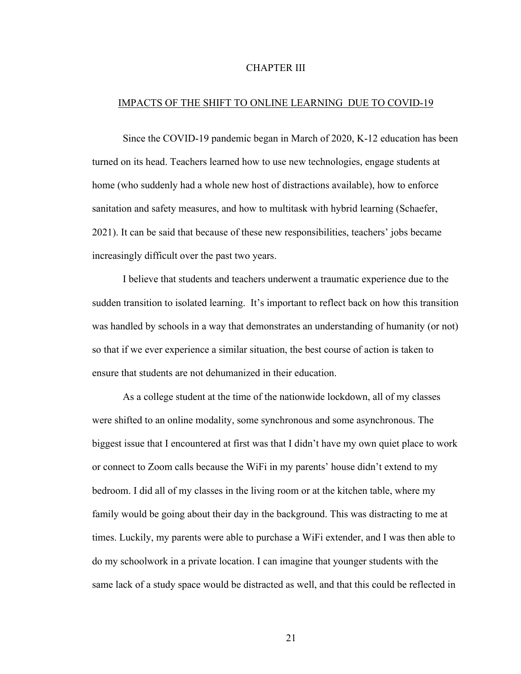# CHAPTER III

# IMPACTS OF THE SHIFT TO ONLINE LEARNING DUE TO COVID-19

Since the COVID-19 pandemic began in March of 2020, K-12 education has been turned on its head. Teachers learned how to use new technologies, engage students at home (who suddenly had a whole new host of distractions available), how to enforce sanitation and safety measures, and how to multitask with hybrid learning (Schaefer, 2021). It can be said that because of these new responsibilities, teachers' jobs became increasingly difficult over the past two years.

I believe that students and teachers underwent a traumatic experience due to the sudden transition to isolated learning. It's important to reflect back on how this transition was handled by schools in a way that demonstrates an understanding of humanity (or not) so that if we ever experience a similar situation, the best course of action is taken to ensure that students are not dehumanized in their education.

As a college student at the time of the nationwide lockdown, all of my classes were shifted to an online modality, some synchronous and some asynchronous. The biggest issue that I encountered at first was that I didn't have my own quiet place to work or connect to Zoom calls because the WiFi in my parents' house didn't extend to my bedroom. I did all of my classes in the living room or at the kitchen table, where my family would be going about their day in the background. This was distracting to me at times. Luckily, my parents were able to purchase a WiFi extender, and I was then able to do my schoolwork in a private location. I can imagine that younger students with the same lack of a study space would be distracted as well, and that this could be reflected in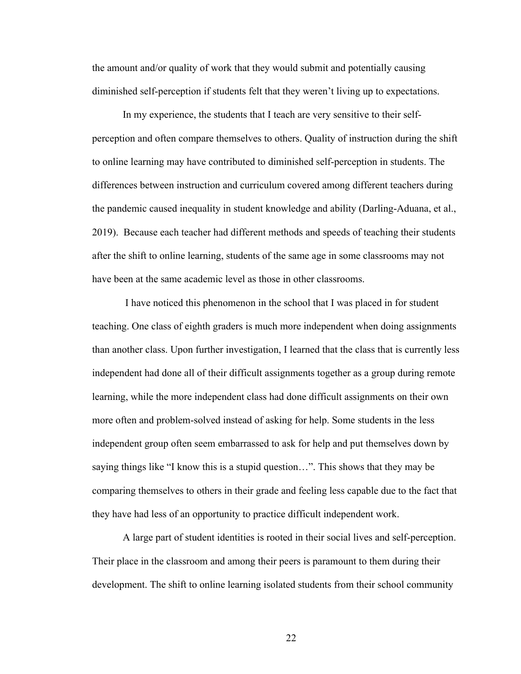the amount and/or quality of work that they would submit and potentially causing diminished self-perception if students felt that they weren't living up to expectations.

In my experience, the students that I teach are very sensitive to their selfperception and often compare themselves to others. Quality of instruction during the shift to online learning may have contributed to diminished self-perception in students. The differences between instruction and curriculum covered among different teachers during the pandemic caused inequality in student knowledge and ability (Darling-Aduana, et al., 2019). Because each teacher had different methods and speeds of teaching their students after the shift to online learning, students of the same age in some classrooms may not have been at the same academic level as those in other classrooms.

I have noticed this phenomenon in the school that I was placed in for student teaching. One class of eighth graders is much more independent when doing assignments than another class. Upon further investigation, I learned that the class that is currently less independent had done all of their difficult assignments together as a group during remote learning, while the more independent class had done difficult assignments on their own more often and problem-solved instead of asking for help. Some students in the less independent group often seem embarrassed to ask for help and put themselves down by saying things like "I know this is a stupid question…". This shows that they may be comparing themselves to others in their grade and feeling less capable due to the fact that they have had less of an opportunity to practice difficult independent work.

A large part of student identities is rooted in their social lives and self-perception. Their place in the classroom and among their peers is paramount to them during their development. The shift to online learning isolated students from their school community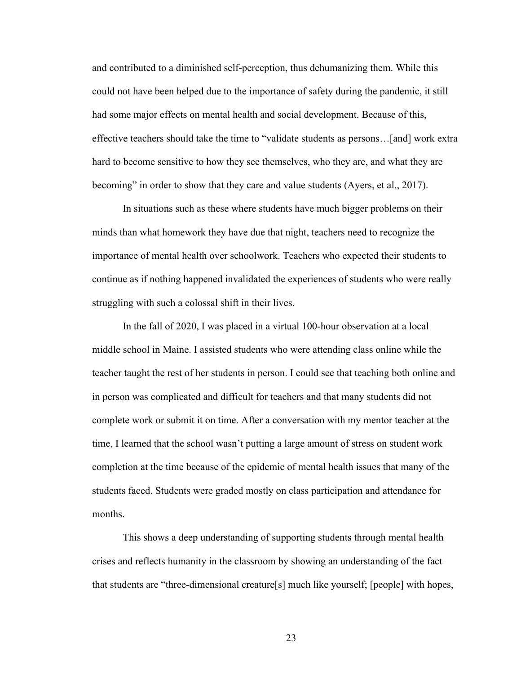and contributed to a diminished self-perception, thus dehumanizing them. While this could not have been helped due to the importance of safety during the pandemic, it still had some major effects on mental health and social development. Because of this, effective teachers should take the time to "validate students as persons…[and] work extra hard to become sensitive to how they see themselves, who they are, and what they are becoming" in order to show that they care and value students (Ayers, et al., 2017).

In situations such as these where students have much bigger problems on their minds than what homework they have due that night, teachers need to recognize the importance of mental health over schoolwork. Teachers who expected their students to continue as if nothing happened invalidated the experiences of students who were really struggling with such a colossal shift in their lives.

In the fall of 2020, I was placed in a virtual 100-hour observation at a local middle school in Maine. I assisted students who were attending class online while the teacher taught the rest of her students in person. I could see that teaching both online and in person was complicated and difficult for teachers and that many students did not complete work or submit it on time. After a conversation with my mentor teacher at the time, I learned that the school wasn't putting a large amount of stress on student work completion at the time because of the epidemic of mental health issues that many of the students faced. Students were graded mostly on class participation and attendance for months.

This shows a deep understanding of supporting students through mental health crises and reflects humanity in the classroom by showing an understanding of the fact that students are "three-dimensional creature[s] much like yourself; [people] with hopes,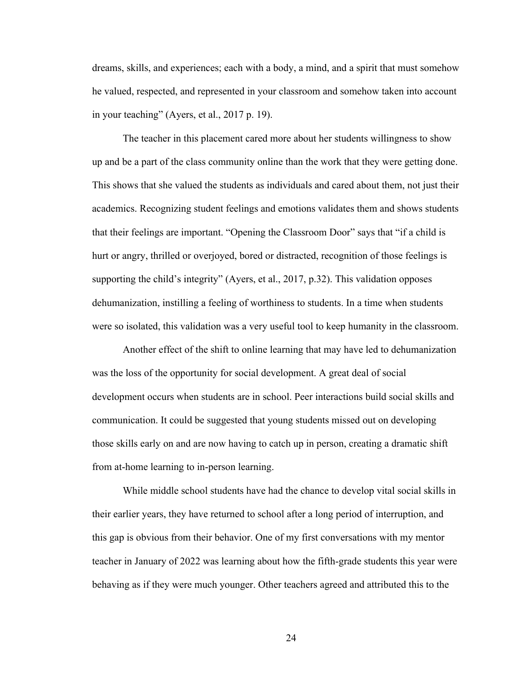dreams, skills, and experiences; each with a body, a mind, and a spirit that must somehow he valued, respected, and represented in your classroom and somehow taken into account in your teaching" (Ayers, et al., 2017 p. 19).

The teacher in this placement cared more about her students willingness to show up and be a part of the class community online than the work that they were getting done. This shows that she valued the students as individuals and cared about them, not just their academics. Recognizing student feelings and emotions validates them and shows students that their feelings are important. "Opening the Classroom Door" says that "if a child is hurt or angry, thrilled or overjoyed, bored or distracted, recognition of those feelings is supporting the child's integrity" (Ayers, et al., 2017, p.32). This validation opposes dehumanization, instilling a feeling of worthiness to students. In a time when students were so isolated, this validation was a very useful tool to keep humanity in the classroom.

Another effect of the shift to online learning that may have led to dehumanization was the loss of the opportunity for social development. A great deal of social development occurs when students are in school. Peer interactions build social skills and communication. It could be suggested that young students missed out on developing those skills early on and are now having to catch up in person, creating a dramatic shift from at-home learning to in-person learning.

While middle school students have had the chance to develop vital social skills in their earlier years, they have returned to school after a long period of interruption, and this gap is obvious from their behavior. One of my first conversations with my mentor teacher in January of 2022 was learning about how the fifth-grade students this year were behaving as if they were much younger. Other teachers agreed and attributed this to the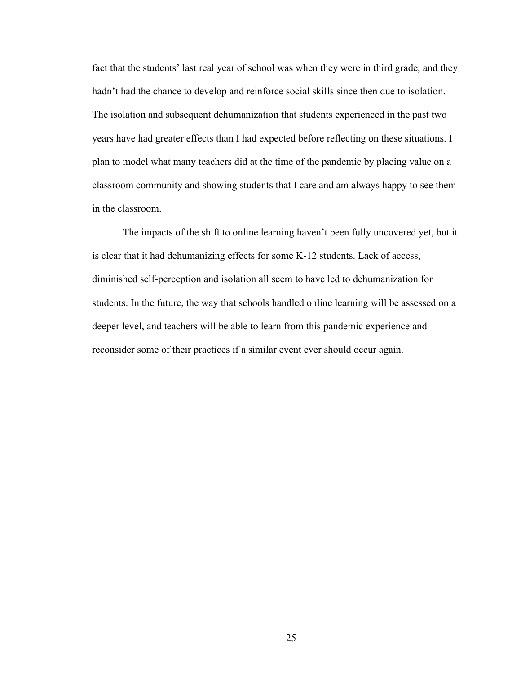fact that the students' last real year of school was when they were in third grade, and they hadn't had the chance to develop and reinforce social skills since then due to isolation. The isolation and subsequent dehumanization that students experienced in the past two years have had greater effects than I had expected before reflecting on these situations. I plan to model what many teachers did at the time of the pandemic by placing value on a classroom community and showing students that I care and am always happy to see them in the classroom.

The impacts of the shift to online learning haven't been fully uncovered yet, but it is clear that it had dehumanizing effects for some K-12 students. Lack of access, diminished self-perception and isolation all seem to have led to dehumanization for students. In the future, the way that schools handled online learning will be assessed on a deeper level, and teachers will be able to learn from this pandemic experience and reconsider some of their practices if a similar event ever should occur again.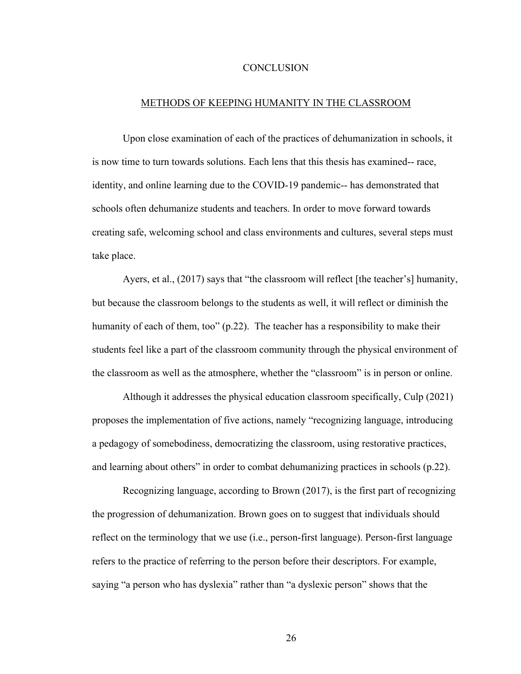## **CONCLUSION**

#### METHODS OF KEEPING HUMANITY IN THE CLASSROOM

Upon close examination of each of the practices of dehumanization in schools, it is now time to turn towards solutions. Each lens that this thesis has examined-- race, identity, and online learning due to the COVID-19 pandemic-- has demonstrated that schools often dehumanize students and teachers. In order to move forward towards creating safe, welcoming school and class environments and cultures, several steps must take place.

Ayers, et al., (2017) says that "the classroom will reflect [the teacher's] humanity, but because the classroom belongs to the students as well, it will reflect or diminish the humanity of each of them, too" (p.22). The teacher has a responsibility to make their students feel like a part of the classroom community through the physical environment of the classroom as well as the atmosphere, whether the "classroom" is in person or online.

Although it addresses the physical education classroom specifically, Culp (2021) proposes the implementation of five actions, namely "recognizing language, introducing a pedagogy of somebodiness, democratizing the classroom, using restorative practices, and learning about others" in order to combat dehumanizing practices in schools (p.22).

Recognizing language, according to Brown (2017), is the first part of recognizing the progression of dehumanization. Brown goes on to suggest that individuals should reflect on the terminology that we use (i.e., person-first language). Person-first language refers to the practice of referring to the person before their descriptors. For example, saying "a person who has dyslexia" rather than "a dyslexic person" shows that the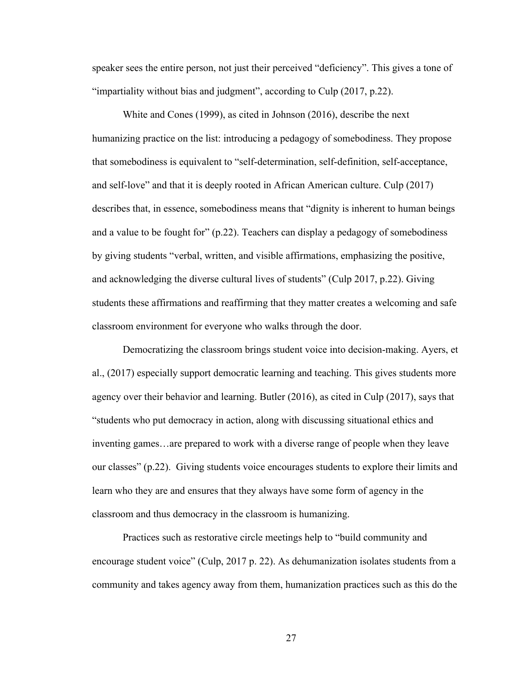speaker sees the entire person, not just their perceived "deficiency". This gives a tone of "impartiality without bias and judgment", according to Culp (2017, p.22).

White and Cones (1999), as cited in Johnson (2016), describe the next humanizing practice on the list: introducing a pedagogy of somebodiness. They propose that somebodiness is equivalent to "self-determination, self-definition, self-acceptance, and self-love" and that it is deeply rooted in African American culture. Culp (2017) describes that, in essence, somebodiness means that "dignity is inherent to human beings and a value to be fought for" (p.22). Teachers can display a pedagogy of somebodiness by giving students "verbal, written, and visible affirmations, emphasizing the positive, and acknowledging the diverse cultural lives of students" (Culp 2017, p.22). Giving students these affirmations and reaffirming that they matter creates a welcoming and safe classroom environment for everyone who walks through the door.

Democratizing the classroom brings student voice into decision-making. Ayers, et al., (2017) especially support democratic learning and teaching. This gives students more agency over their behavior and learning. Butler (2016), as cited in Culp (2017), says that "students who put democracy in action, along with discussing situational ethics and inventing games…are prepared to work with a diverse range of people when they leave our classes" (p.22). Giving students voice encourages students to explore their limits and learn who they are and ensures that they always have some form of agency in the classroom and thus democracy in the classroom is humanizing.

Practices such as restorative circle meetings help to "build community and encourage student voice" (Culp, 2017 p. 22). As dehumanization isolates students from a community and takes agency away from them, humanization practices such as this do the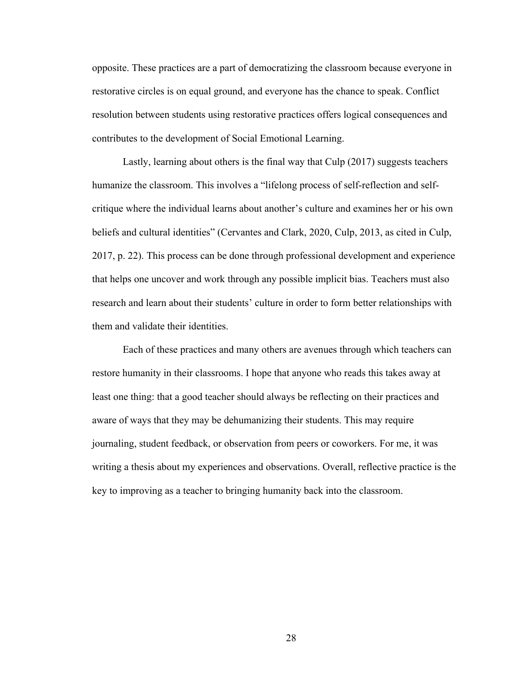opposite. These practices are a part of democratizing the classroom because everyone in restorative circles is on equal ground, and everyone has the chance to speak. Conflict resolution between students using restorative practices offers logical consequences and contributes to the development of Social Emotional Learning.

Lastly, learning about others is the final way that Culp (2017) suggests teachers humanize the classroom. This involves a "lifelong process of self-reflection and selfcritique where the individual learns about another's culture and examines her or his own beliefs and cultural identities" (Cervantes and Clark, 2020, Culp, 2013, as cited in Culp, 2017, p. 22). This process can be done through professional development and experience that helps one uncover and work through any possible implicit bias. Teachers must also research and learn about their students' culture in order to form better relationships with them and validate their identities.

Each of these practices and many others are avenues through which teachers can restore humanity in their classrooms. I hope that anyone who reads this takes away at least one thing: that a good teacher should always be reflecting on their practices and aware of ways that they may be dehumanizing their students. This may require journaling, student feedback, or observation from peers or coworkers. For me, it was writing a thesis about my experiences and observations. Overall, reflective practice is the key to improving as a teacher to bringing humanity back into the classroom.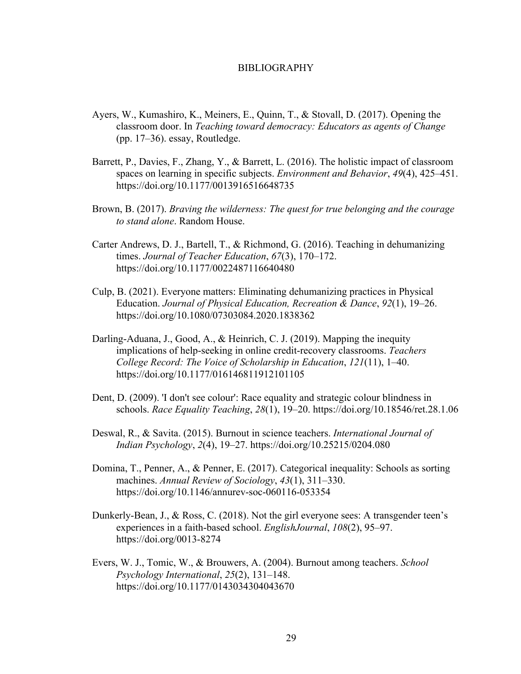#### BIBLIOGRAPHY

- Ayers, W., Kumashiro, K., Meiners, E., Quinn, T., & Stovall, D. (2017). Opening the classroom door. In *Teaching toward democracy: Educators as agents of Change* (pp. 17–36). essay, Routledge.
- Barrett, P., Davies, F., Zhang, Y., & Barrett, L. (2016). The holistic impact of classroom spaces on learning in specific subjects. *Environment and Behavior*, *49*(4), 425–451. https://doi.org/10.1177/0013916516648735
- Brown, B. (2017). *Braving the wilderness: The quest for true belonging and the courage to stand alone*. Random House.
- Carter Andrews, D. J., Bartell, T., & Richmond, G. (2016). Teaching in dehumanizing times. *Journal of Teacher Education*, *67*(3), 170–172. https://doi.org/10.1177/0022487116640480
- Culp, B. (2021). Everyone matters: Eliminating dehumanizing practices in Physical Education. *Journal of Physical Education, Recreation & Dance*, *92*(1), 19–26. https://doi.org/10.1080/07303084.2020.1838362
- Darling-Aduana, J., Good, A., & Heinrich, C. J. (2019). Mapping the inequity implications of help-seeking in online credit-recovery classrooms. *Teachers College Record: The Voice of Scholarship in Education*, *121*(11), 1–40. https://doi.org/10.1177/016146811912101105
- Dent, D. (2009). 'I don't see colour': Race equality and strategic colour blindness in schools. *Race Equality Teaching*, *28*(1), 19–20. https://doi.org/10.18546/ret.28.1.06
- Deswal, R., & Savita. (2015). Burnout in science teachers. *International Journal of Indian Psychology*, *2*(4), 19–27. https://doi.org/10.25215/0204.080
- Domina, T., Penner, A., & Penner, E. (2017). Categorical inequality: Schools as sorting machines. *Annual Review of Sociology*, *43*(1), 311–330. https://doi.org/10.1146/annurev-soc-060116-053354
- Dunkerly-Bean, J., & Ross, C. (2018). Not the girl everyone sees: A transgender teen's experiences in a faith-based school. *EnglishJournal*, *108*(2), 95–97. https://doi.org/0013-8274
- Evers, W. J., Tomic, W., & Brouwers, A. (2004). Burnout among teachers. *School Psychology International*, *25*(2), 131–148. https://doi.org/10.1177/0143034304043670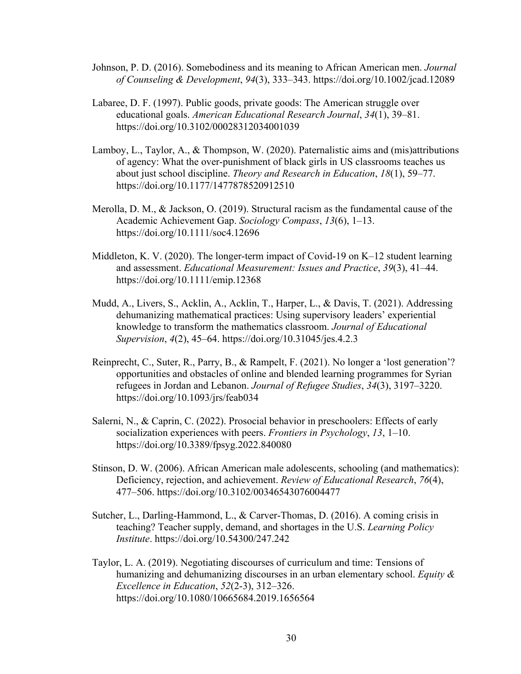- Johnson, P. D. (2016). Somebodiness and its meaning to African American men. *Journal of Counseling & Development*, *94*(3), 333–343. https://doi.org/10.1002/jcad.12089
- Labaree, D. F. (1997). Public goods, private goods: The American struggle over educational goals. *American Educational Research Journal*, *34*(1), 39–81. https://doi.org/10.3102/00028312034001039
- Lamboy, L., Taylor, A., & Thompson, W. (2020). Paternalistic aims and (mis)attributions of agency: What the over-punishment of black girls in US classrooms teaches us about just school discipline. *Theory and Research in Education*, *18*(1), 59–77. https://doi.org/10.1177/1477878520912510
- Merolla, D. M., & Jackson, O. (2019). Structural racism as the fundamental cause of the Academic Achievement Gap. *Sociology Compass*, *13*(6), 1–13. https://doi.org/10.1111/soc4.12696
- Middleton, K. V. (2020). The longer-term impact of Covid-19 on  $K-12$  student learning and assessment. *Educational Measurement: Issues and Practice*, *39*(3), 41–44. https://doi.org/10.1111/emip.12368
- Mudd, A., Livers, S., Acklin, A., Acklin, T., Harper, L., & Davis, T. (2021). Addressing dehumanizing mathematical practices: Using supervisory leaders' experiential knowledge to transform the mathematics classroom. *Journal of Educational Supervision*, *4*(2), 45–64. https://doi.org/10.31045/jes.4.2.3
- Reinprecht, C., Suter, R., Parry, B., & Rampelt, F. (2021). No longer a 'lost generation'? opportunities and obstacles of online and blended learning programmes for Syrian refugees in Jordan and Lebanon. *Journal of Refugee Studies*, *34*(3), 3197–3220. https://doi.org/10.1093/jrs/feab034
- Salerni, N., & Caprin, C. (2022). Prosocial behavior in preschoolers: Effects of early socialization experiences with peers. *Frontiers in Psychology*, *13*, 1–10. https://doi.org/10.3389/fpsyg.2022.840080
- Stinson, D. W. (2006). African American male adolescents, schooling (and mathematics): Deficiency, rejection, and achievement. *Review of Educational Research*, *76*(4), 477–506. https://doi.org/10.3102/00346543076004477
- Sutcher, L., Darling-Hammond, L., & Carver-Thomas, D. (2016). A coming crisis in teaching? Teacher supply, demand, and shortages in the U.S. *Learning Policy Institute*. https://doi.org/10.54300/247.242
- Taylor, L. A. (2019). Negotiating discourses of curriculum and time: Tensions of humanizing and dehumanizing discourses in an urban elementary school. *Equity & Excellence in Education*, *52*(2-3), 312–326. https://doi.org/10.1080/10665684.2019.1656564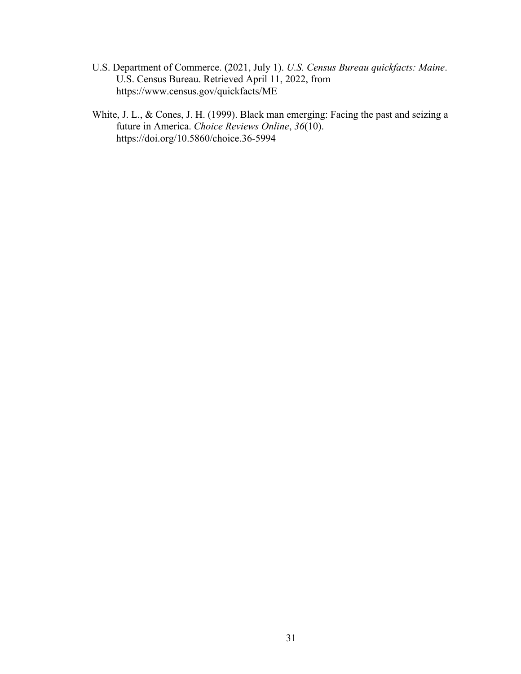- U.S. Department of Commerce. (2021, July 1). *U.S. Census Bureau quickfacts: Maine*. U.S. Census Bureau. Retrieved April 11, 2022, from https://www.census.gov/quickfacts/ME
- White, J. L., & Cones, J. H. (1999). Black man emerging: Facing the past and seizing a future in America. *Choice Reviews Online*, *36*(10). https://doi.org/10.5860/choice.36-5994